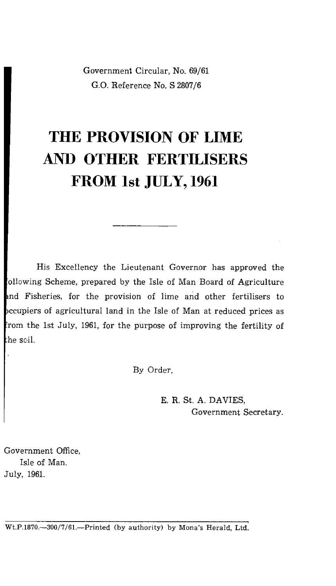Government Circular, No. 69/61 G.O. Reference No. S 2807/6

## **THE PROVISION OF LIME AND OTHER FERTILISERS FROM 1st JULY, 1961**

His Excellency the Lieutenant Governor has approved the ollowing Scheme, prepared by the Isle of Man Board of Agriculture nd Fisheries, for the provision of lime and other fertilisers to ccupiers of agricultural land in the Isle of Man at reduced prices as rom the 1st July, 1961, for the purpose of improving the fertility of he soil.

By Order,

E. R. St. A. DAVIES, Government Secretary.

Government Office, Isle of Man. July, 1961.

Wt.P.1870.-300/7/61.--Printed (by authority) by Mona's Herald, Ltd.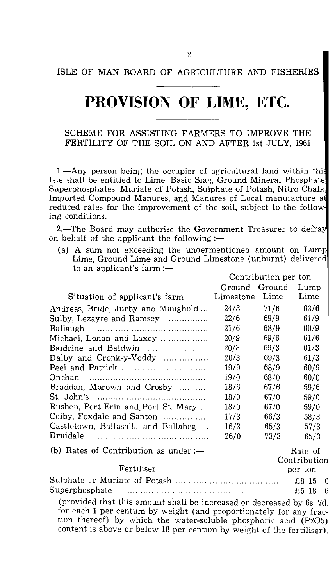## **PROVISION OF LIME, ETC.**

SCHEME FOR ASSISTING FARMERS TO IMPROVE THE FERTILITY OF THE SOIL ON AND AFTER 1st JULY, 1961

1.—Any person being the occupier of agricultural land within thi Isle shall be entitled to Lime, Basic Slag, Ground Mineral Phosphate Superphosphates, Muriate of Potash, Sulphate of Potash, Nitro Chalk Imported Compound Manures, and Manures of Local manufacture a reduced rates for the improvement of the soil, subject to the follow ing conditions.

2.—The Board may authorise the Government Treasurer to defra on behalf of the applicant the following :-

(a) A sum not exceeding the undermentioned amount on Lump Lime, Ground Lime and Ground Limestone (unburnt) delivered to an applicant's farm :— Contribution per ton

|                                                                                                                 | Ground Ground |      | Lump              |  |
|-----------------------------------------------------------------------------------------------------------------|---------------|------|-------------------|--|
| Situation of applicant's farm                                                                                   | Limestone     | Lime | Lime              |  |
| Andreas, Bride, Jurby and Maughold                                                                              | 24/3          | 71/6 | 63/6              |  |
| Sulby, Lezayre and Ramsey                                                                                       | 22/6          | 69/9 | 61/9              |  |
|                                                                                                                 | 21/6          | 68/9 | 60/9              |  |
| Michael, Lonan and Laxey                                                                                        | 20/9          | 69/6 | 61/6              |  |
| Baldrine and Baldwin                                                                                            | 20/3          | 69/3 | 61/3              |  |
| Dalby and Cronk-y-Voddy                                                                                         | 20/3          | 69/3 | 61/3              |  |
|                                                                                                                 | 19/9          | 68/9 | 60/9              |  |
|                                                                                                                 | 19/0          | 68/0 | 60/0              |  |
| Braddan, Marown and Crosby                                                                                      | 18/6          | 67/6 | 59/6              |  |
|                                                                                                                 | 18/0          | 67/0 | 59/0              |  |
| Rushen, Port Erin and Port St. Mary                                                                             | 18/0          | 67/0 | 59/0              |  |
| Colby, Foxdale and Santon                                                                                       | 17/3          | 66/3 | 58/3              |  |
| Castletown, Ballasalla and Ballabeg                                                                             | 16/3          | 65/3 | 57/3              |  |
|                                                                                                                 | 26/0          | 73/3 | 65/3              |  |
| (b) Rates of Contribution as under :-                                                                           |               |      | Rate of           |  |
|                                                                                                                 |               |      | Contribution      |  |
| Fertiliser                                                                                                      |               |      | per ton           |  |
|                                                                                                                 |               |      | £8 15<br>$\theta$ |  |
| Superphosphate                                                                                                  |               |      | £5 18<br>6        |  |
| the contract of the contract of the contract of the contract of the contract of the contract of the contract of |               |      |                   |  |

(provided that this amount shall be increased or decreased by 6s. 7d. for each 1 per centum by weight (and proportionately for any fraction thereof) by which the water-soluble phosphoric acid (P205) content is above or below 18 per centum by weight of the fertiliser).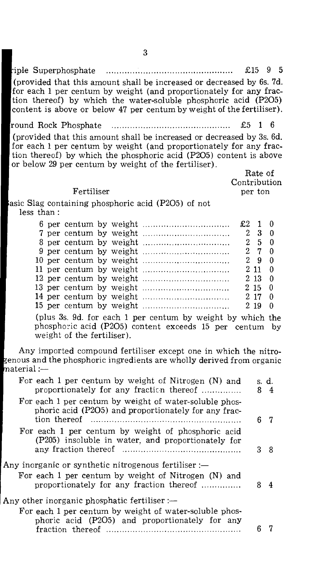| riple Superphosphate                                                  | $£15$ 9 5 |  |  |  |
|-----------------------------------------------------------------------|-----------|--|--|--|
| (provided that this amount shall be increased or decreased by 6s. 7d. |           |  |  |  |
| for each 1 per centum by weight (and proportionately for any frac-    |           |  |  |  |
| tion thereof) by which the water-soluble phosphoric acid (P2O5)       |           |  |  |  |
| content is above or below 47 per centum by weight of the fertiliser). |           |  |  |  |

round Rock Phosphate £5 1 6

(provided that this amount shall be increased or decreased by 3s. 6d. for each 1 per centum by weight (and proportionately for any fraction thereof) by which the phosphoric acid (P205) content is above or below 29 per centum by weight of the fertiliser).

Rate of Contribution per ton

## Fertiliser

asic Slag containing phosphoric acid (P205) of not less than :

|  |  |  | $2\quad 9\quad 0$ |  |
|--|--|--|-------------------|--|
|  |  |  | 2110              |  |
|  |  |  | $2\;13\;0$        |  |
|  |  |  | $2\;15\;0$        |  |
|  |  |  | 2170              |  |
|  |  |  |                   |  |

(plus 3s. 9d. for each 1 per centum by weight by which the phosphoric acid (P205) content exceeds 15 per centum by weight of the fertiliser).

Any imported compound fertiliser except one in which the nitroenous and the phosphoric ingredients are wholly derived from organic  $\text{material}:=$ 

| For each 1 per centum by weight of Nitrogen (N) and<br>proportionately for any fraction thereof                                                         | 8. | s. d.<br>-4 |
|---------------------------------------------------------------------------------------------------------------------------------------------------------|----|-------------|
| For each 1 per centum by weight of water-soluble phos-<br>phoric acid (P2O5) and proportionately for any frac-                                          |    | ჩ 7         |
| For each 1 per centum by weight of phosphoric acid<br>(P205) insoluble in water, and proportionately for                                                | 3. | 8           |
| Any inorganic or synthetic nitrogenous fertiliser :-<br>For each 1 per centum by weight of Nitrogen (N) and<br>proportionately for any fraction thereof |    | 4           |
| Any other inorganic phosphatic fertiliser :—                                                                                                            |    |             |
| For each 1 per centum by weight of water-soluble phos-<br>phoric acid (P2O5) and proportionately for any                                                |    |             |